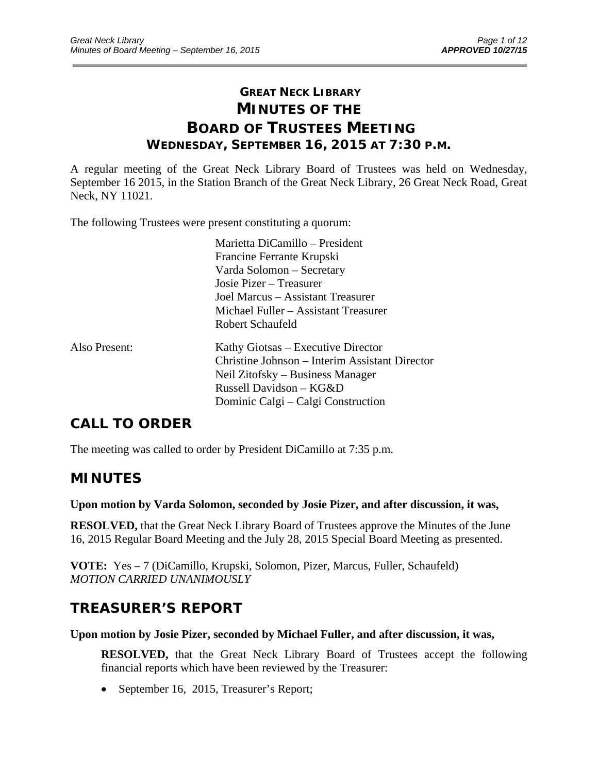## **GREAT NECK LIBRARY MINUTES OF THE BOARD OF TRUSTEES MEETING WEDNESDAY, SEPTEMBER 16, 2015 AT 7:30 P.M.**

\_\_\_\_\_\_\_\_\_\_\_\_\_\_\_\_\_\_\_\_\_\_\_\_\_\_\_\_\_\_\_\_\_\_\_\_\_\_\_\_\_\_\_\_\_\_\_\_\_\_\_\_\_\_\_\_\_\_\_\_\_\_\_\_\_\_\_\_\_\_\_\_\_\_\_\_\_\_\_\_\_\_\_\_\_\_\_\_\_\_\_\_\_

A regular meeting of the Great Neck Library Board of Trustees was held on Wednesday, September 16 2015, in the Station Branch of the Great Neck Library, 26 Great Neck Road, Great Neck, NY 11021.

The following Trustees were present constituting a quorum:

|               | Marietta DiCamillo – President<br>Francine Ferrante Krupski<br>Varda Solomon – Secretary<br>Josie Pizer – Treasurer<br>Joel Marcus – Assistant Treasurer<br>Michael Fuller – Assistant Treasurer<br>Robert Schaufeld |
|---------------|----------------------------------------------------------------------------------------------------------------------------------------------------------------------------------------------------------------------|
| Also Present: | Kathy Giotsas – Executive Director<br>Christine Johnson – Interim Assistant Director<br>Neil Zitofsky – Business Manager<br>Russell Davidson - KG&D<br>Dominic Calgi – Calgi Construction                            |

# **CALL TO ORDER**

The meeting was called to order by President DiCamillo at 7:35 p.m.

## **MINUTES**

#### **Upon motion by Varda Solomon, seconded by Josie Pizer, and after discussion, it was,**

**RESOLVED,** that the Great Neck Library Board of Trustees approve the Minutes of the June 16, 2015 Regular Board Meeting and the July 28, 2015 Special Board Meeting as presented.

**VOTE:** Yes – 7 (DiCamillo, Krupski, Solomon, Pizer, Marcus, Fuller, Schaufeld) *MOTION CARRIED UNANIMOUSLY* 

## **TREASURER'S REPORT**

#### **Upon motion by Josie Pizer, seconded by Michael Fuller, and after discussion, it was,**

**RESOLVED,** that the Great Neck Library Board of Trustees accept the following financial reports which have been reviewed by the Treasurer:

• September 16, 2015, Treasurer's Report;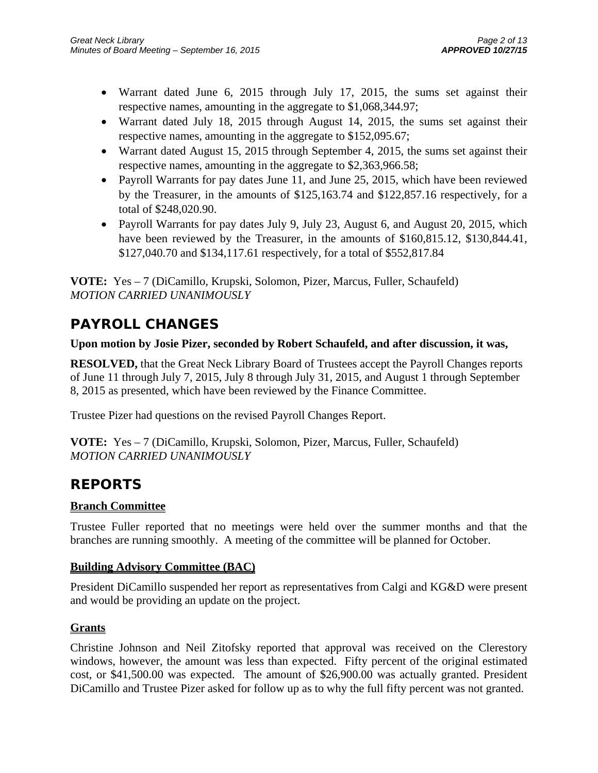- Warrant dated June 6, 2015 through July 17, 2015, the sums set against their respective names, amounting in the aggregate to \$1,068,344.97;
- Warrant dated July 18, 2015 through August 14, 2015, the sums set against their respective names, amounting in the aggregate to \$152,095.67;
- Warrant dated August 15, 2015 through September 4, 2015, the sums set against their respective names, amounting in the aggregate to \$2,363,966.58;
- Payroll Warrants for pay dates June 11, and June 25, 2015, which have been reviewed by the Treasurer, in the amounts of \$125,163.74 and \$122,857.16 respectively, for a total of \$248,020.90.
- Payroll Warrants for pay dates July 9, July 23, August 6, and August 20, 2015, which have been reviewed by the Treasurer, in the amounts of \$160,815.12, \$130,844.41, \$127,040.70 and \$134,117.61 respectively, for a total of \$552,817.84

**VOTE:** Yes – 7 (DiCamillo, Krupski, Solomon, Pizer, Marcus, Fuller, Schaufeld) *MOTION CARRIED UNANIMOUSLY* 

# **PAYROLL CHANGES**

## **Upon motion by Josie Pizer, seconded by Robert Schaufeld, and after discussion, it was,**

**RESOLVED,** that the Great Neck Library Board of Trustees accept the Payroll Changes reports of June 11 through July 7, 2015, July 8 through July 31, 2015, and August 1 through September 8, 2015 as presented, which have been reviewed by the Finance Committee.

Trustee Pizer had questions on the revised Payroll Changes Report.

**VOTE:** Yes – 7 (DiCamillo, Krupski, Solomon, Pizer, Marcus, Fuller, Schaufeld) *MOTION CARRIED UNANIMOUSLY* 

# **REPORTS**

## **Branch Committee**

Trustee Fuller reported that no meetings were held over the summer months and that the branches are running smoothly. A meeting of the committee will be planned for October.

## **Building Advisory Committee (BAC)**

President DiCamillo suspended her report as representatives from Calgi and KG&D were present and would be providing an update on the project.

## **Grants**

Christine Johnson and Neil Zitofsky reported that approval was received on the Clerestory windows, however, the amount was less than expected. Fifty percent of the original estimated cost, or \$41,500.00 was expected. The amount of \$26,900.00 was actually granted. President DiCamillo and Trustee Pizer asked for follow up as to why the full fifty percent was not granted.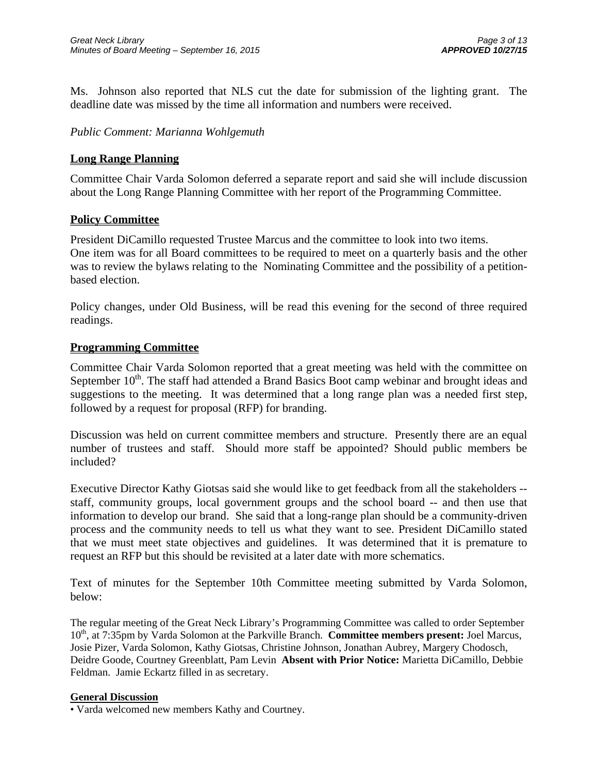Ms. Johnson also reported that NLS cut the date for submission of the lighting grant. The deadline date was missed by the time all information and numbers were received.

### *Public Comment: Marianna Wohlgemuth*

#### **Long Range Planning**

Committee Chair Varda Solomon deferred a separate report and said she will include discussion about the Long Range Planning Committee with her report of the Programming Committee.

#### **Policy Committee**

President DiCamillo requested Trustee Marcus and the committee to look into two items. One item was for all Board committees to be required to meet on a quarterly basis and the other was to review the bylaws relating to the Nominating Committee and the possibility of a petitionbased election.

Policy changes, under Old Business, will be read this evening for the second of three required readings.

#### **Programming Committee**

Committee Chair Varda Solomon reported that a great meeting was held with the committee on September  $10^{th}$ . The staff had attended a Brand Basics Boot camp webinar and brought ideas and suggestions to the meeting. It was determined that a long range plan was a needed first step, followed by a request for proposal (RFP) for branding.

Discussion was held on current committee members and structure. Presently there are an equal number of trustees and staff. Should more staff be appointed? Should public members be included?

Executive Director Kathy Giotsas said she would like to get feedback from all the stakeholders - staff, community groups, local government groups and the school board -- and then use that information to develop our brand. She said that a long-range plan should be a community-driven process and the community needs to tell us what they want to see. President DiCamillo stated that we must meet state objectives and guidelines. It was determined that it is premature to request an RFP but this should be revisited at a later date with more schematics.

Text of minutes for the September 10th Committee meeting submitted by Varda Solomon, below:

The regular meeting of the Great Neck Library's Programming Committee was called to order September 10th, at 7:35pm by Varda Solomon at the Parkville Branch. **Committee members present:** Joel Marcus, Josie Pizer, Varda Solomon, Kathy Giotsas, Christine Johnson, Jonathan Aubrey, Margery Chodosch, Deidre Goode, Courtney Greenblatt, Pam Levin **Absent with Prior Notice:** Marietta DiCamillo, Debbie Feldman. Jamie Eckartz filled in as secretary.

#### **General Discussion**

• Varda welcomed new members Kathy and Courtney.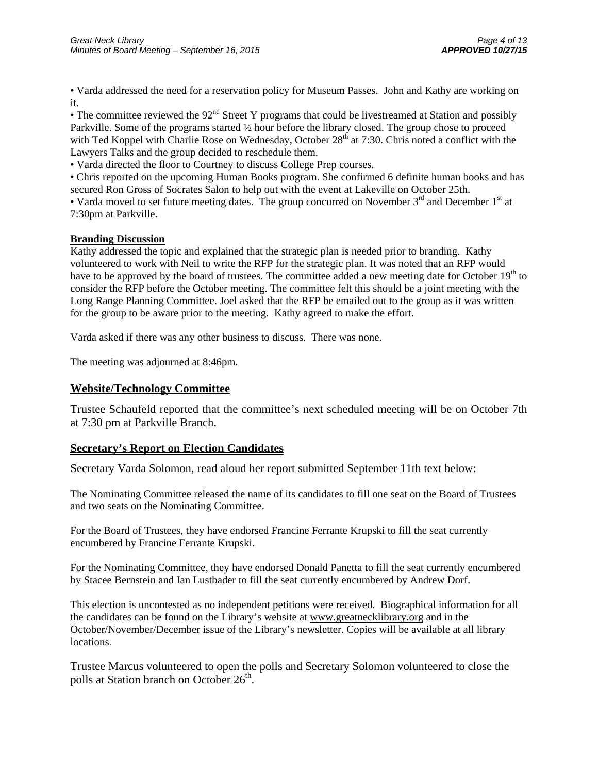• Varda addressed the need for a reservation policy for Museum Passes. John and Kathy are working on it.

• The committee reviewed the  $92<sup>nd</sup>$  Street Y programs that could be livestreamed at Station and possibly Parkville. Some of the programs started ½ hour before the library closed. The group chose to proceed with Ted Koppel with Charlie Rose on Wednesday, October 28<sup>th</sup> at 7:30. Chris noted a conflict with the Lawyers Talks and the group decided to reschedule them.

• Varda directed the floor to Courtney to discuss College Prep courses.

• Chris reported on the upcoming Human Books program. She confirmed 6 definite human books and has secured Ron Gross of Socrates Salon to help out with the event at Lakeville on October 25th.

• Varda moved to set future meeting dates. The group concurred on November  $3<sup>rd</sup>$  and December  $1<sup>st</sup>$  at 7:30pm at Parkville.

#### **Branding Discussion**

Kathy addressed the topic and explained that the strategic plan is needed prior to branding. Kathy volunteered to work with Neil to write the RFP for the strategic plan. It was noted that an RFP would have to be approved by the board of trustees. The committee added a new meeting date for October 19<sup>th</sup> to consider the RFP before the October meeting. The committee felt this should be a joint meeting with the Long Range Planning Committee. Joel asked that the RFP be emailed out to the group as it was written for the group to be aware prior to the meeting. Kathy agreed to make the effort.

Varda asked if there was any other business to discuss. There was none.

The meeting was adjourned at 8:46pm.

#### **Website/Technology Committee**

Trustee Schaufeld reported that the committee's next scheduled meeting will be on October 7th at 7:30 pm at Parkville Branch.

#### **Secretary's Report on Election Candidates**

Secretary Varda Solomon, read aloud her report submitted September 11th text below:

The Nominating Committee released the name of its candidates to fill one seat on the Board of Trustees and two seats on the Nominating Committee.

For the Board of Trustees, they have endorsed Francine Ferrante Krupski to fill the seat currently encumbered by Francine Ferrante Krupski.

For the Nominating Committee, they have endorsed Donald Panetta to fill the seat currently encumbered by Stacee Bernstein and Ian Lustbader to fill the seat currently encumbered by Andrew Dorf.

This election is uncontested as no independent petitions were received. Biographical information for all the candidates can be found on the Library's website at www.greatnecklibrary.org and in the October/November/December issue of the Library's newsletter. Copies will be available at all library locations.

Trustee Marcus volunteered to open the polls and Secretary Solomon volunteered to close the polls at Station branch on October  $26<sup>th</sup>$ .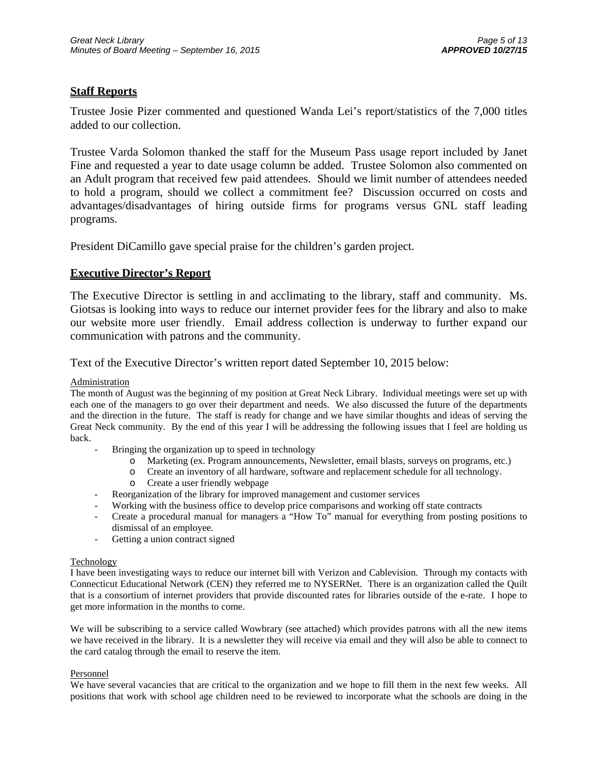#### **Staff Reports**

Trustee Josie Pizer commented and questioned Wanda Lei's report/statistics of the 7,000 titles added to our collection.

Trustee Varda Solomon thanked the staff for the Museum Pass usage report included by Janet Fine and requested a year to date usage column be added. Trustee Solomon also commented on an Adult program that received few paid attendees. Should we limit number of attendees needed to hold a program, should we collect a commitment fee? Discussion occurred on costs and advantages/disadvantages of hiring outside firms for programs versus GNL staff leading programs.

President DiCamillo gave special praise for the children's garden project.

#### **Executive Director's Report**

The Executive Director is settling in and acclimating to the library, staff and community. Ms. Giotsas is looking into ways to reduce our internet provider fees for the library and also to make our website more user friendly. Email address collection is underway to further expand our communication with patrons and the community.

Text of the Executive Director's written report dated September 10, 2015 below:

#### **Administration**

The month of August was the beginning of my position at Great Neck Library. Individual meetings were set up with each one of the managers to go over their department and needs. We also discussed the future of the departments and the direction in the future. The staff is ready for change and we have similar thoughts and ideas of serving the Great Neck community. By the end of this year I will be addressing the following issues that I feel are holding us back.

- Bringing the organization up to speed in technology
	- o Marketing (ex. Program announcements, Newsletter, email blasts, surveys on programs, etc.)
	- o Create an inventory of all hardware, software and replacement schedule for all technology.
	- o Create a user friendly webpage
- Reorganization of the library for improved management and customer services
- Working with the business office to develop price comparisons and working off state contracts
- Create a procedural manual for managers a "How To" manual for everything from posting positions to dismissal of an employee.
- Getting a union contract signed

#### **Technology**

I have been investigating ways to reduce our internet bill with Verizon and Cablevision. Through my contacts with Connecticut Educational Network (CEN) they referred me to NYSERNet. There is an organization called the Quilt that is a consortium of internet providers that provide discounted rates for libraries outside of the e-rate. I hope to get more information in the months to come.

We will be subscribing to a service called Wowbrary (see attached) which provides patrons with all the new items we have received in the library. It is a newsletter they will receive via email and they will also be able to connect to the card catalog through the email to reserve the item.

#### Personnel

We have several vacancies that are critical to the organization and we hope to fill them in the next few weeks. All positions that work with school age children need to be reviewed to incorporate what the schools are doing in the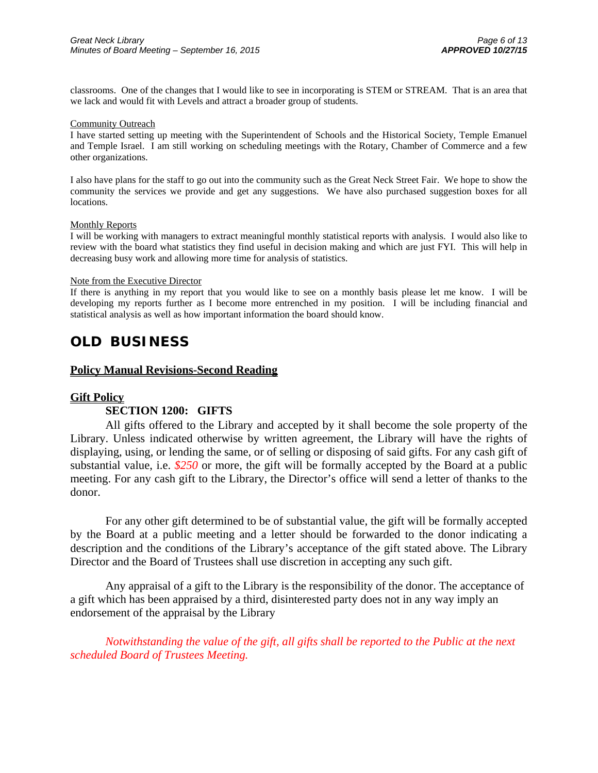classrooms. One of the changes that I would like to see in incorporating is STEM or STREAM. That is an area that we lack and would fit with Levels and attract a broader group of students.

#### Community Outreach

I have started setting up meeting with the Superintendent of Schools and the Historical Society, Temple Emanuel and Temple Israel. I am still working on scheduling meetings with the Rotary, Chamber of Commerce and a few other organizations.

I also have plans for the staff to go out into the community such as the Great Neck Street Fair. We hope to show the community the services we provide and get any suggestions. We have also purchased suggestion boxes for all locations.

#### Monthly Reports

I will be working with managers to extract meaningful monthly statistical reports with analysis. I would also like to review with the board what statistics they find useful in decision making and which are just FYI. This will help in decreasing busy work and allowing more time for analysis of statistics.

#### Note from the Executive Director

If there is anything in my report that you would like to see on a monthly basis please let me know. I will be developing my reports further as I become more entrenched in my position. I will be including financial and statistical analysis as well as how important information the board should know.

## **OLD BUSINESS**

#### **Policy Manual Revisions-Second Reading**

#### **Gift Policy**

#### **SECTION 1200: GIFTS**

All gifts offered to the Library and accepted by it shall become the sole property of the Library. Unless indicated otherwise by written agreement, the Library will have the rights of displaying, using, or lending the same, or of selling or disposing of said gifts. For any cash gift of substantial value, i.e. *\$250* or more, the gift will be formally accepted by the Board at a public meeting. For any cash gift to the Library, the Director's office will send a letter of thanks to the donor.

For any other gift determined to be of substantial value, the gift will be formally accepted by the Board at a public meeting and a letter should be forwarded to the donor indicating a description and the conditions of the Library's acceptance of the gift stated above. The Library Director and the Board of Trustees shall use discretion in accepting any such gift.

Any appraisal of a gift to the Library is the responsibility of the donor. The acceptance of a gift which has been appraised by a third, disinterested party does not in any way imply an endorsement of the appraisal by the Library

*Notwithstanding the value of the gift, all gifts shall be reported to the Public at the next scheduled Board of Trustees Meeting.*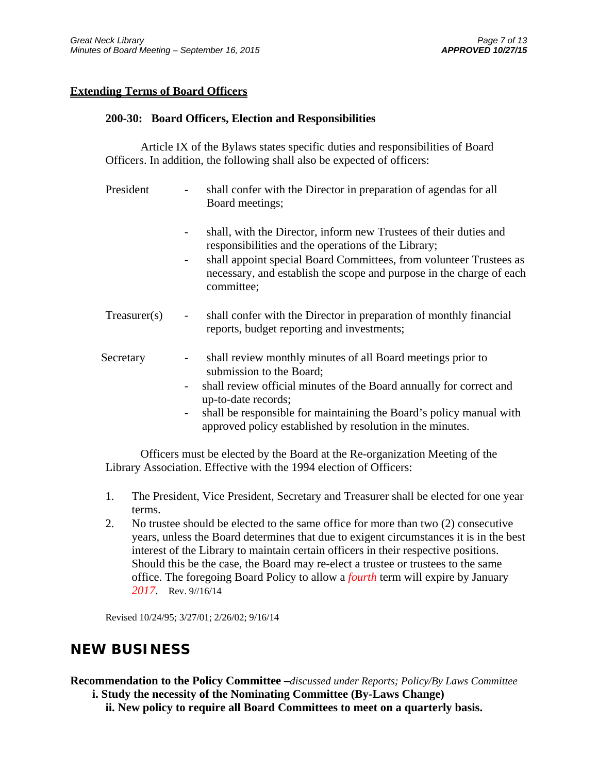#### **Extending Terms of Board Officers**

#### **200-30: Board Officers, Election and Responsibilities**

Article IX of the Bylaws states specific duties and responsibilities of Board Officers. In addition, the following shall also be expected of officers:

- President shall confer with the Director in preparation of agendas for all Board meetings;
	- shall, with the Director, inform new Trustees of their duties and responsibilities and the operations of the Library;
	- shall appoint special Board Committees, from volunteer Trustees as necessary, and establish the scope and purpose in the charge of each committee;
- Treasurer(s) shall confer with the Director in preparation of monthly financial reports, budget reporting and investments;
- Secretary shall review monthly minutes of all Board meetings prior to submission to the Board;
	- shall review official minutes of the Board annually for correct and up-to-date records;
	- shall be responsible for maintaining the Board's policy manual with approved policy established by resolution in the minutes.

Officers must be elected by the Board at the Re-organization Meeting of the Library Association. Effective with the 1994 election of Officers:

- 1. The President, Vice President, Secretary and Treasurer shall be elected for one year terms.
- 2. No trustee should be elected to the same office for more than two (2) consecutive years, unless the Board determines that due to exigent circumstances it is in the best interest of the Library to maintain certain officers in their respective positions. Should this be the case, the Board may re-elect a trustee or trustees to the same office. The foregoing Board Policy to allow a *fourth* term will expire by January *2017*. Rev. 9//16/14

Revised 10/24/95; 3/27/01; 2/26/02; 9/16/14

## **NEW BUSINESS**

**Recommendation to the Policy Committee –***discussed under Reports; Policy/By Laws Committee* 

**i. Study the necessity of the Nominating Committee (By-Laws Change)** 

 **ii. New policy to require all Board Committees to meet on a quarterly basis.**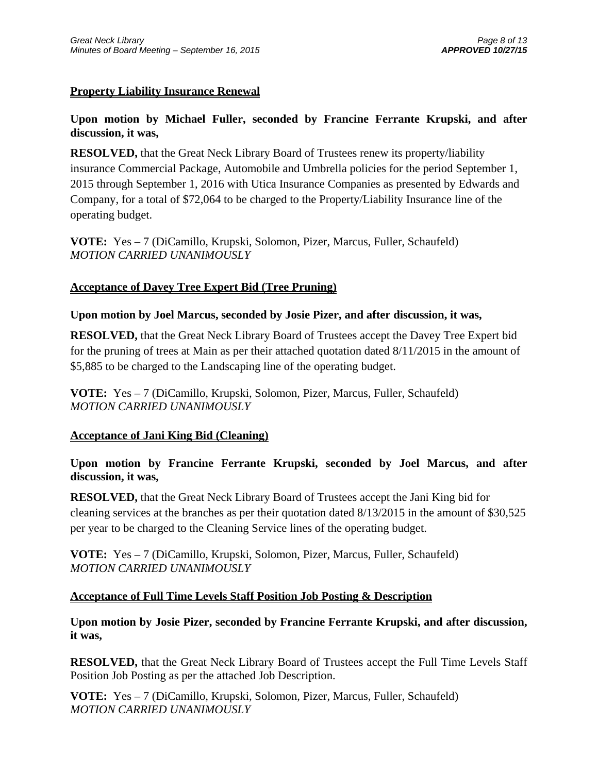## **Property Liability Insurance Renewal**

## **Upon motion by Michael Fuller, seconded by Francine Ferrante Krupski, and after discussion, it was,**

**RESOLVED,** that the Great Neck Library Board of Trustees renew its property/liability insurance Commercial Package, Automobile and Umbrella policies for the period September 1, 2015 through September 1, 2016 with Utica Insurance Companies as presented by Edwards and Company, for a total of \$72,064 to be charged to the Property/Liability Insurance line of the operating budget.

**VOTE:** Yes – 7 (DiCamillo, Krupski, Solomon, Pizer, Marcus, Fuller, Schaufeld) *MOTION CARRIED UNANIMOUSLY* 

## **Acceptance of Davey Tree Expert Bid (Tree Pruning)**

### **Upon motion by Joel Marcus, seconded by Josie Pizer, and after discussion, it was,**

**RESOLVED,** that the Great Neck Library Board of Trustees accept the Davey Tree Expert bid for the pruning of trees at Main as per their attached quotation dated 8/11/2015 in the amount of \$5,885 to be charged to the Landscaping line of the operating budget.

**VOTE:** Yes – 7 (DiCamillo, Krupski, Solomon, Pizer, Marcus, Fuller, Schaufeld) *MOTION CARRIED UNANIMOUSLY* 

### **Acceptance of Jani King Bid (Cleaning)**

## **Upon motion by Francine Ferrante Krupski, seconded by Joel Marcus, and after discussion, it was,**

**RESOLVED,** that the Great Neck Library Board of Trustees accept the Jani King bid for cleaning services at the branches as per their quotation dated 8/13/2015 in the amount of \$30,525 per year to be charged to the Cleaning Service lines of the operating budget.

**VOTE:** Yes – 7 (DiCamillo, Krupski, Solomon, Pizer, Marcus, Fuller, Schaufeld) *MOTION CARRIED UNANIMOUSLY* 

### **Acceptance of Full Time Levels Staff Position Job Posting & Description**

**Upon motion by Josie Pizer, seconded by Francine Ferrante Krupski, and after discussion, it was,** 

**RESOLVED,** that the Great Neck Library Board of Trustees accept the Full Time Levels Staff Position Job Posting as per the attached Job Description.

**VOTE:** Yes – 7 (DiCamillo, Krupski, Solomon, Pizer, Marcus, Fuller, Schaufeld) *MOTION CARRIED UNANIMOUSLY*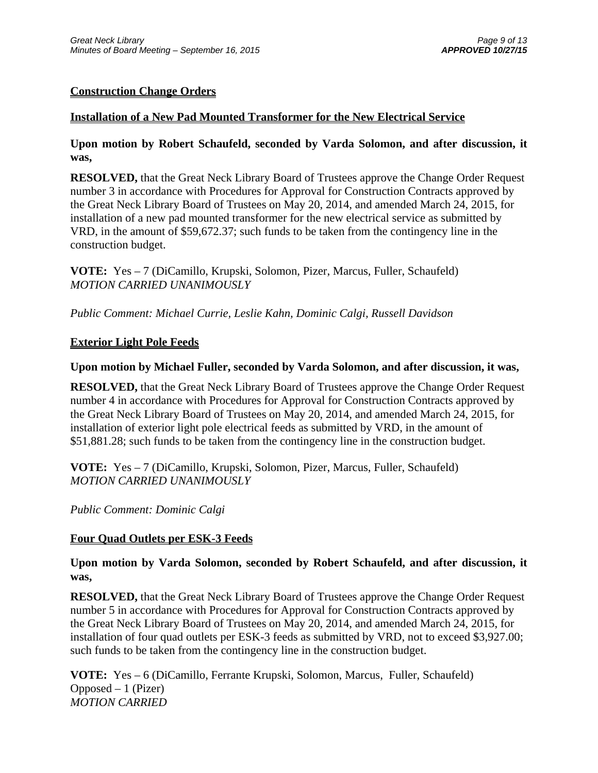## **Construction Change Orders**

### **Installation of a New Pad Mounted Transformer for the New Electrical Service**

**Upon motion by Robert Schaufeld, seconded by Varda Solomon, and after discussion, it was,** 

**RESOLVED,** that the Great Neck Library Board of Trustees approve the Change Order Request number 3 in accordance with Procedures for Approval for Construction Contracts approved by the Great Neck Library Board of Trustees on May 20, 2014, and amended March 24, 2015, for installation of a new pad mounted transformer for the new electrical service as submitted by VRD, in the amount of \$59,672.37; such funds to be taken from the contingency line in the construction budget.

**VOTE:** Yes – 7 (DiCamillo, Krupski, Solomon, Pizer, Marcus, Fuller, Schaufeld) *MOTION CARRIED UNANIMOUSLY* 

*Public Comment: Michael Currie, Leslie Kahn, Dominic Calgi, Russell Davidson* 

### **Exterior Light Pole Feeds**

### **Upon motion by Michael Fuller, seconded by Varda Solomon, and after discussion, it was,**

**RESOLVED,** that the Great Neck Library Board of Trustees approve the Change Order Request number 4 in accordance with Procedures for Approval for Construction Contracts approved by the Great Neck Library Board of Trustees on May 20, 2014, and amended March 24, 2015, for installation of exterior light pole electrical feeds as submitted by VRD, in the amount of \$51,881.28; such funds to be taken from the contingency line in the construction budget.

**VOTE:** Yes – 7 (DiCamillo, Krupski, Solomon, Pizer, Marcus, Fuller, Schaufeld) *MOTION CARRIED UNANIMOUSLY* 

*Public Comment: Dominic Calgi* 

### **Four Quad Outlets per ESK-3 Feeds**

**Upon motion by Varda Solomon, seconded by Robert Schaufeld, and after discussion, it was,** 

**RESOLVED,** that the Great Neck Library Board of Trustees approve the Change Order Request number 5 in accordance with Procedures for Approval for Construction Contracts approved by the Great Neck Library Board of Trustees on May 20, 2014, and amended March 24, 2015, for installation of four quad outlets per ESK-3 feeds as submitted by VRD, not to exceed \$3,927.00; such funds to be taken from the contingency line in the construction budget.

**VOTE:** Yes – 6 (DiCamillo, Ferrante Krupski, Solomon, Marcus, Fuller, Schaufeld)  $Opposed - 1$  (Pizer) *MOTION CARRIED*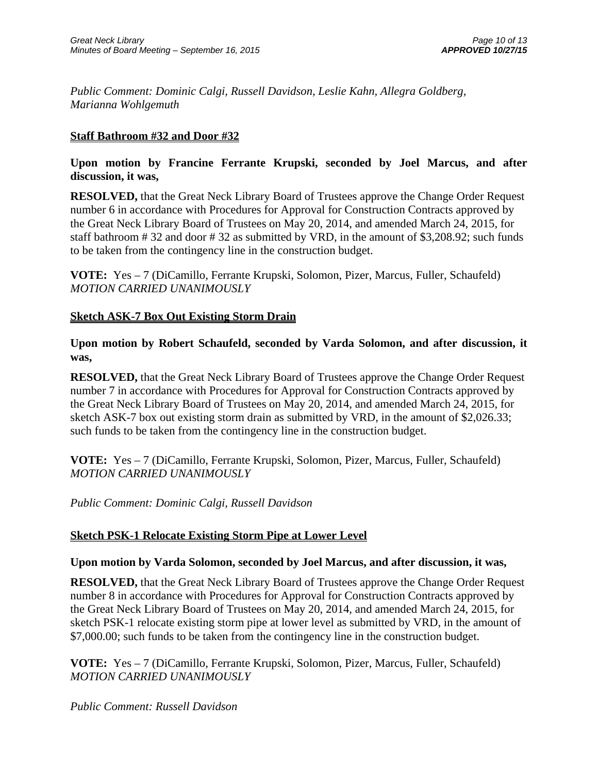*Public Comment: Dominic Calgi, Russell Davidson, Leslie Kahn, Allegra Goldberg, Marianna Wohlgemuth* 

### **Staff Bathroom #32 and Door #32**

### **Upon motion by Francine Ferrante Krupski, seconded by Joel Marcus, and after discussion, it was,**

**RESOLVED,** that the Great Neck Library Board of Trustees approve the Change Order Request number 6 in accordance with Procedures for Approval for Construction Contracts approved by the Great Neck Library Board of Trustees on May 20, 2014, and amended March 24, 2015, for staff bathroom # 32 and door # 32 as submitted by VRD, in the amount of \$3,208.92; such funds to be taken from the contingency line in the construction budget.

**VOTE:** Yes – 7 (DiCamillo, Ferrante Krupski, Solomon, Pizer, Marcus, Fuller, Schaufeld) *MOTION CARRIED UNANIMOUSLY* 

### **Sketch ASK-7 Box Out Existing Storm Drain**

**Upon motion by Robert Schaufeld, seconded by Varda Solomon, and after discussion, it was,** 

**RESOLVED,** that the Great Neck Library Board of Trustees approve the Change Order Request number 7 in accordance with Procedures for Approval for Construction Contracts approved by the Great Neck Library Board of Trustees on May 20, 2014, and amended March 24, 2015, for sketch ASK-7 box out existing storm drain as submitted by VRD, in the amount of \$2,026.33; such funds to be taken from the contingency line in the construction budget.

**VOTE:** Yes – 7 (DiCamillo, Ferrante Krupski, Solomon, Pizer, Marcus, Fuller, Schaufeld) *MOTION CARRIED UNANIMOUSLY* 

*Public Comment: Dominic Calgi, Russell Davidson*

### **Sketch PSK-1 Relocate Existing Storm Pipe at Lower Level**

#### **Upon motion by Varda Solomon, seconded by Joel Marcus, and after discussion, it was,**

**RESOLVED,** that the Great Neck Library Board of Trustees approve the Change Order Request number 8 in accordance with Procedures for Approval for Construction Contracts approved by the Great Neck Library Board of Trustees on May 20, 2014, and amended March 24, 2015, for sketch PSK-1 relocate existing storm pipe at lower level as submitted by VRD, in the amount of \$7,000.00; such funds to be taken from the contingency line in the construction budget.

**VOTE:** Yes – 7 (DiCamillo, Ferrante Krupski, Solomon, Pizer, Marcus, Fuller, Schaufeld) *MOTION CARRIED UNANIMOUSLY* 

*Public Comment: Russell Davidson*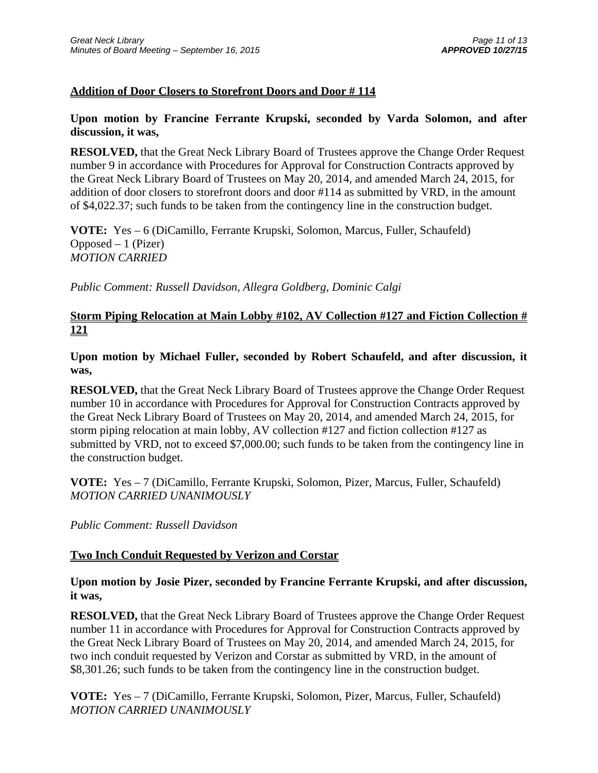### **Addition of Door Closers to Storefront Doors and Door # 114**

### **Upon motion by Francine Ferrante Krupski, seconded by Varda Solomon, and after discussion, it was,**

**RESOLVED,** that the Great Neck Library Board of Trustees approve the Change Order Request number 9 in accordance with Procedures for Approval for Construction Contracts approved by the Great Neck Library Board of Trustees on May 20, 2014, and amended March 24, 2015, for addition of door closers to storefront doors and door #114 as submitted by VRD, in the amount of \$4,022.37; such funds to be taken from the contingency line in the construction budget.

**VOTE:** Yes – 6 (DiCamillo, Ferrante Krupski, Solomon, Marcus, Fuller, Schaufeld)  $Opposed - 1$  (Pizer) *MOTION CARRIED* 

*Public Comment: Russell Davidson, Allegra Goldberg, Dominic Calgi* 

## **Storm Piping Relocation at Main Lobby #102, AV Collection #127 and Fiction Collection # 121**

**Upon motion by Michael Fuller, seconded by Robert Schaufeld, and after discussion, it was,** 

**RESOLVED,** that the Great Neck Library Board of Trustees approve the Change Order Request number 10 in accordance with Procedures for Approval for Construction Contracts approved by the Great Neck Library Board of Trustees on May 20, 2014, and amended March 24, 2015, for storm piping relocation at main lobby, AV collection #127 and fiction collection #127 as submitted by VRD, not to exceed \$7,000.00; such funds to be taken from the contingency line in the construction budget.

**VOTE:** Yes – 7 (DiCamillo, Ferrante Krupski, Solomon, Pizer, Marcus, Fuller, Schaufeld) *MOTION CARRIED UNANIMOUSLY* 

*Public Comment: Russell Davidson*

### **Two Inch Conduit Requested by Verizon and Corstar**

### **Upon motion by Josie Pizer, seconded by Francine Ferrante Krupski, and after discussion, it was,**

**RESOLVED,** that the Great Neck Library Board of Trustees approve the Change Order Request number 11 in accordance with Procedures for Approval for Construction Contracts approved by the Great Neck Library Board of Trustees on May 20, 2014, and amended March 24, 2015, for two inch conduit requested by Verizon and Corstar as submitted by VRD, in the amount of \$8,301.26; such funds to be taken from the contingency line in the construction budget.

**VOTE:** Yes – 7 (DiCamillo, Ferrante Krupski, Solomon, Pizer, Marcus, Fuller, Schaufeld) *MOTION CARRIED UNANIMOUSLY*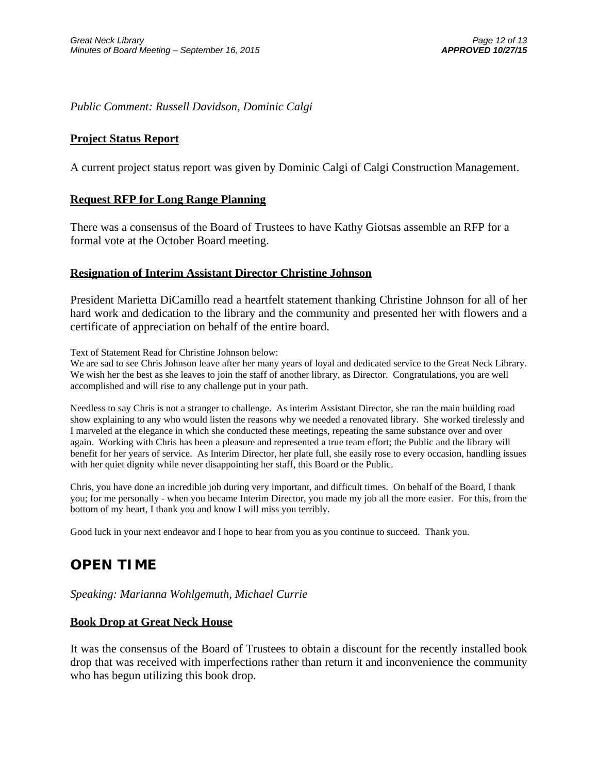*Public Comment: Russell Davidson, Dominic Calgi*

#### **Project Status Report**

A current project status report was given by Dominic Calgi of Calgi Construction Management.

#### **Request RFP for Long Range Planning**

There was a consensus of the Board of Trustees to have Kathy Giotsas assemble an RFP for a formal vote at the October Board meeting.

#### **Resignation of Interim Assistant Director Christine Johnson**

President Marietta DiCamillo read a heartfelt statement thanking Christine Johnson for all of her hard work and dedication to the library and the community and presented her with flowers and a certificate of appreciation on behalf of the entire board.

Text of Statement Read for Christine Johnson below:

We are sad to see Chris Johnson leave after her many years of loyal and dedicated service to the Great Neck Library. We wish her the best as she leaves to join the staff of another library, as Director. Congratulations, you are well accomplished and will rise to any challenge put in your path.

Needless to say Chris is not a stranger to challenge. As interim Assistant Director, she ran the main building road show explaining to any who would listen the reasons why we needed a renovated library. She worked tirelessly and I marveled at the elegance in which she conducted these meetings, repeating the same substance over and over again. Working with Chris has been a pleasure and represented a true team effort; the Public and the library will benefit for her years of service. As Interim Director, her plate full, she easily rose to every occasion, handling issues with her quiet dignity while never disappointing her staff, this Board or the Public.

Chris, you have done an incredible job during very important, and difficult times. On behalf of the Board, I thank you; for me personally - when you became Interim Director, you made my job all the more easier. For this, from the bottom of my heart, I thank you and know I will miss you terribly.

Good luck in your next endeavor and I hope to hear from you as you continue to succeed. Thank you.

# **OPEN TIME**

*Speaking: Marianna Wohlgemuth, Michael Currie*

#### **Book Drop at Great Neck House**

It was the consensus of the Board of Trustees to obtain a discount for the recently installed book drop that was received with imperfections rather than return it and inconvenience the community who has begun utilizing this book drop.